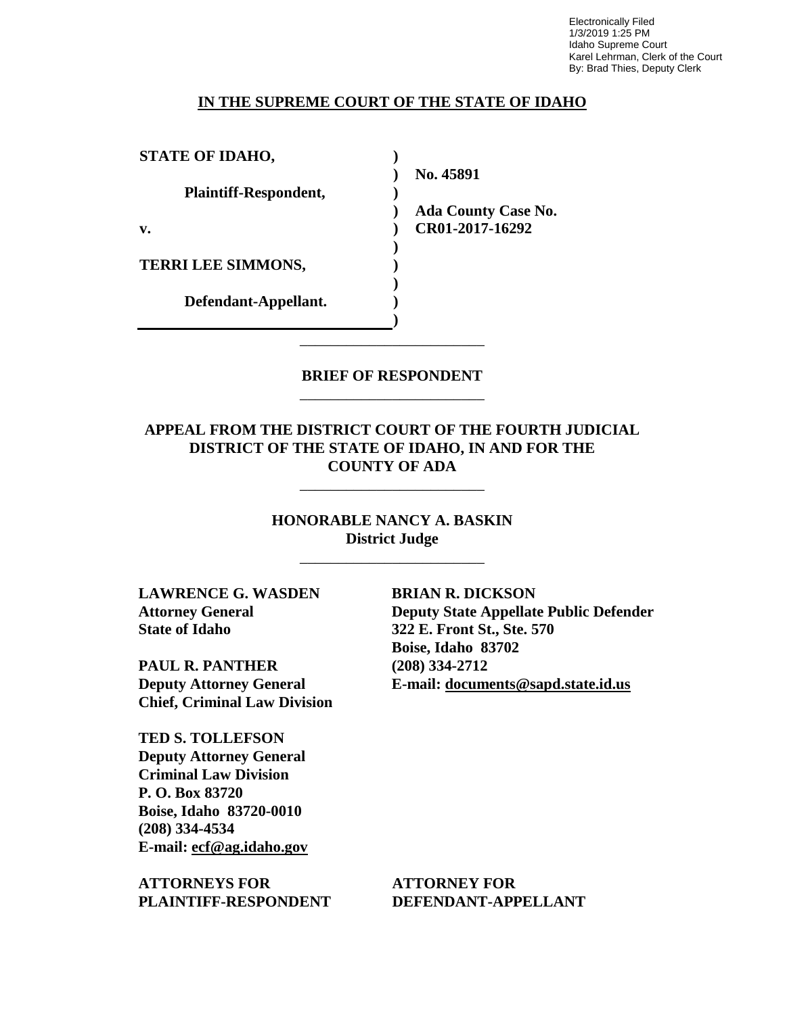Electronically Filed 1/3/2019 1:25 PM Idaho Supreme Court Karel Lehrman, Clerk of the Court By: Brad Thies, Deputy Clerk

## **IN THE SUPREME COURT OF THE STATE OF IDAHO**

| <b>STATE OF IDAHO,</b>       |                            |
|------------------------------|----------------------------|
|                              | No. 45891                  |
| <b>Plaintiff-Respondent,</b> |                            |
|                              | <b>Ada County Case No.</b> |
| v.                           | CR01-2017-16292            |
|                              |                            |
| <b>TERRI LEE SIMMONS,</b>    |                            |
|                              |                            |
| Defendant-Appellant.         |                            |
|                              |                            |

## **BRIEF OF RESPONDENT** \_\_\_\_\_\_\_\_\_\_\_\_\_\_\_\_\_\_\_\_\_\_\_\_

\_\_\_\_\_\_\_\_\_\_\_\_\_\_\_\_\_\_\_\_\_\_\_\_

# **APPEAL FROM THE DISTRICT COURT OF THE FOURTH JUDICIAL DISTRICT OF THE STATE OF IDAHO, IN AND FOR THE COUNTY OF ADA**

\_\_\_\_\_\_\_\_\_\_\_\_\_\_\_\_\_\_\_\_\_\_\_\_

**HONORABLE NANCY A. BASKIN District Judge**

\_\_\_\_\_\_\_\_\_\_\_\_\_\_\_\_\_\_\_\_\_\_\_\_

**LAWRENCE G. WASDEN Attorney General State of Idaho**

**PAUL R. PANTHER Deputy Attorney General Chief, Criminal Law Division**

**TED S. TOLLEFSON Deputy Attorney General Criminal Law Division P. O. Box 83720 Boise, Idaho 83720-0010 (208) 334-4534 E-mail: ecf@ag.idaho.gov** 

**ATTORNEYS FOR PLAINTIFF-RESPONDENT** **BRIAN R. DICKSON Deputy State Appellate Public Defender 322 E. Front St., Ste. 570 Boise, Idaho 83702 (208) 334-2712 E-mail: documents@sapd.state.id.us** 

**ATTORNEY FOR DEFENDANT-APPELLANT**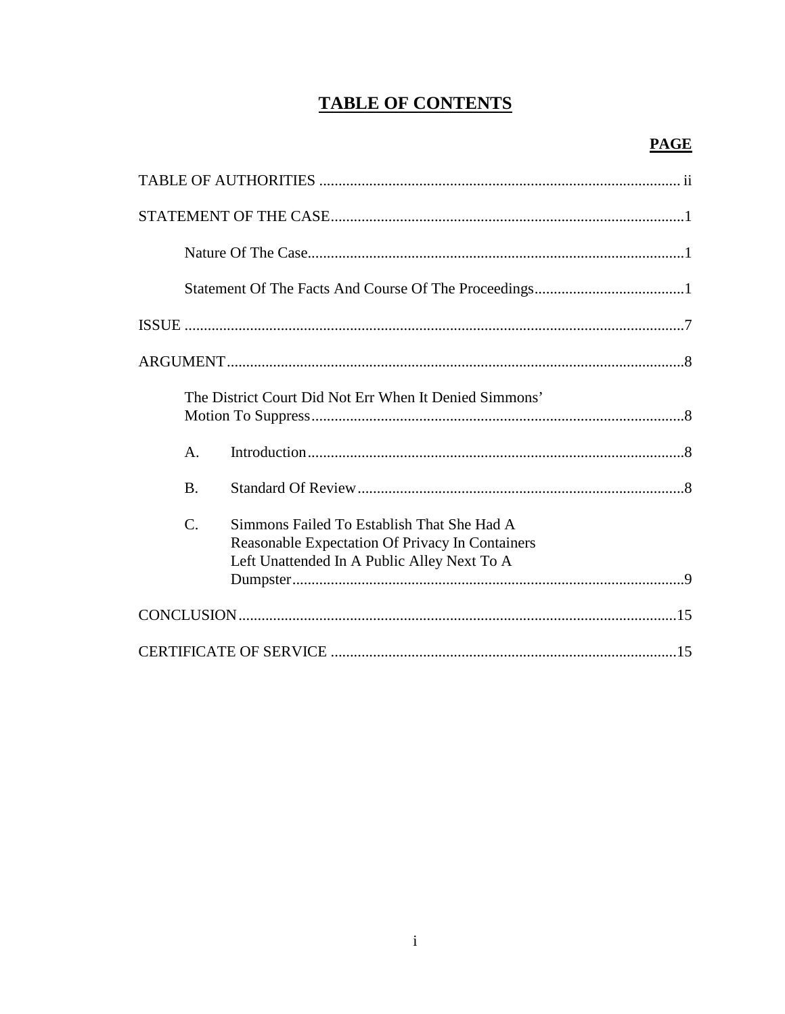# **TABLE OF CONTENTS**

|                 | $\begin{minipage}{0.9\linewidth} \textbf{STATEMENT OF THE CASE} \end{minipage} \begin{minipage}{0.9\linewidth} \textbf{0.00} \end{minipage} \begin{minipage}{0.9\linewidth} \textbf{0.00} \end{minipage} \begin{minipage}{0.9\linewidth} \textbf{0.00} \end{minipage} \begin{minipage}{0.9\linewidth} \textbf{0.00} \end{minipage} \begin{minipage}{0.9\linewidth} \textbf{0.00} \end{minipage} \begin{minipage}{0.9\linewidth} \textbf{0.00} \end{minipage} \begin{minipage}{0.9\linewidth} \textbf$ |
|-----------------|-------------------------------------------------------------------------------------------------------------------------------------------------------------------------------------------------------------------------------------------------------------------------------------------------------------------------------------------------------------------------------------------------------------------------------------------------------------------------------------------------------|
|                 |                                                                                                                                                                                                                                                                                                                                                                                                                                                                                                       |
|                 |                                                                                                                                                                                                                                                                                                                                                                                                                                                                                                       |
|                 |                                                                                                                                                                                                                                                                                                                                                                                                                                                                                                       |
|                 |                                                                                                                                                                                                                                                                                                                                                                                                                                                                                                       |
|                 | The District Court Did Not Err When It Denied Simmons'                                                                                                                                                                                                                                                                                                                                                                                                                                                |
| А.              |                                                                                                                                                                                                                                                                                                                                                                                                                                                                                                       |
| $\mathbf{B}$ .  |                                                                                                                                                                                                                                                                                                                                                                                                                                                                                                       |
| $\mathcal{C}$ . | Simmons Failed To Establish That She Had A<br>Reasonable Expectation Of Privacy In Containers<br>Left Unattended In A Public Alley Next To A                                                                                                                                                                                                                                                                                                                                                          |
|                 |                                                                                                                                                                                                                                                                                                                                                                                                                                                                                                       |
|                 |                                                                                                                                                                                                                                                                                                                                                                                                                                                                                                       |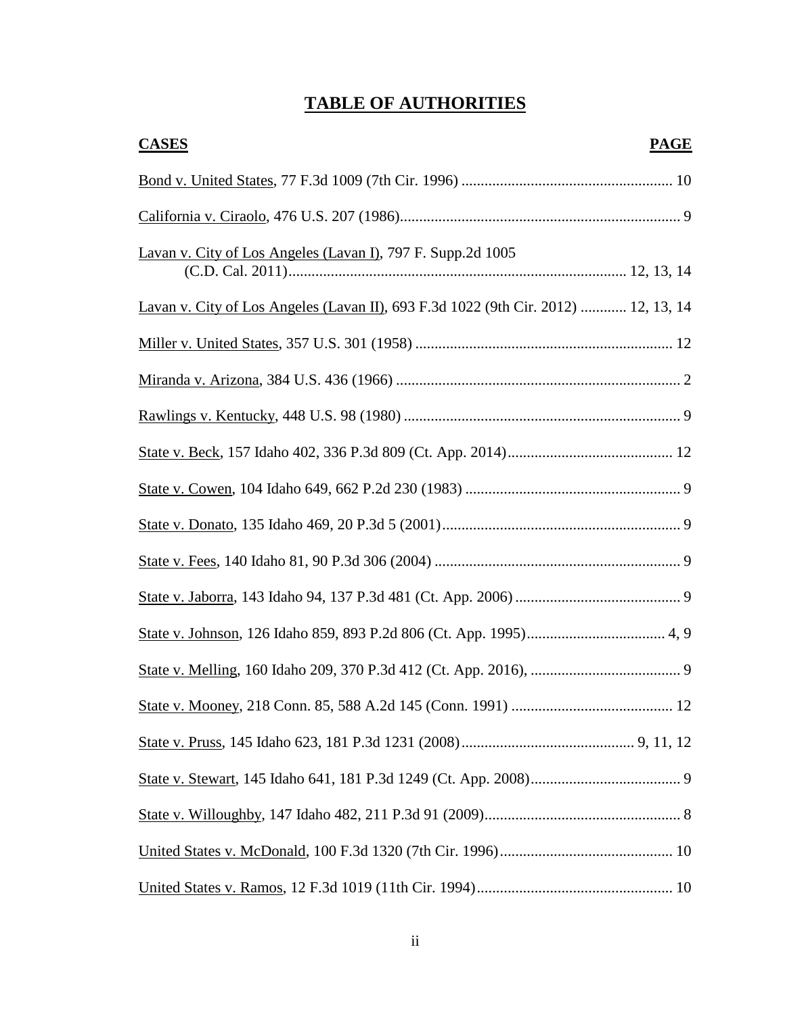# **TABLE OF AUTHORITIES**

| <b>CASES</b>                                                                       | <b>PAGE</b> |
|------------------------------------------------------------------------------------|-------------|
|                                                                                    |             |
|                                                                                    |             |
| Lavan v. City of Los Angeles (Lavan I), 797 F. Supp.2d 1005                        |             |
| Lavan v. City of Los Angeles (Lavan II), 693 F.3d 1022 (9th Cir. 2012)  12, 13, 14 |             |
|                                                                                    |             |
|                                                                                    |             |
|                                                                                    |             |
|                                                                                    |             |
|                                                                                    |             |
|                                                                                    |             |
|                                                                                    |             |
|                                                                                    |             |
|                                                                                    |             |
|                                                                                    |             |
|                                                                                    |             |
|                                                                                    |             |
|                                                                                    |             |
|                                                                                    |             |
|                                                                                    |             |
|                                                                                    |             |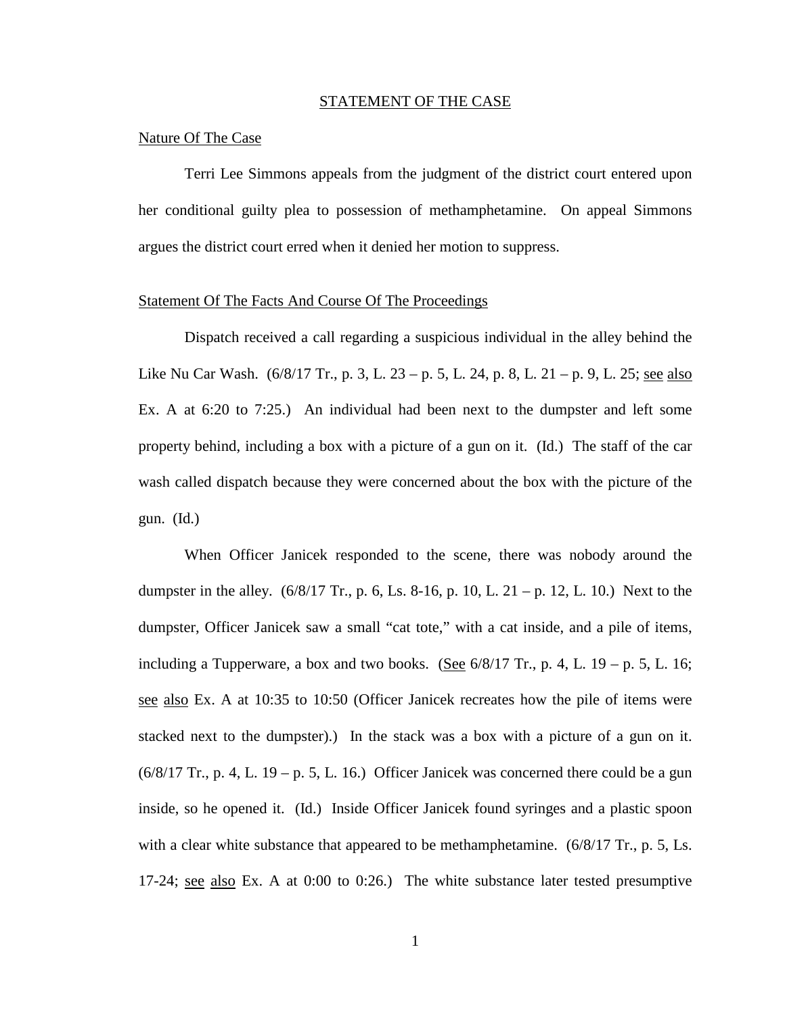#### STATEMENT OF THE CASE

### Nature Of The Case

Terri Lee Simmons appeals from the judgment of the district court entered upon her conditional guilty plea to possession of methamphetamine. On appeal Simmons argues the district court erred when it denied her motion to suppress.

## Statement Of The Facts And Course Of The Proceedings

Dispatch received a call regarding a suspicious individual in the alley behind the Like Nu Car Wash. (6/8/17 Tr., p. 3, L. 23 – p. 5, L. 24, p. 8, L. 21 – p. 9, L. 25; see also Ex. A at 6:20 to 7:25.) An individual had been next to the dumpster and left some property behind, including a box with a picture of a gun on it. (Id.) The staff of the car wash called dispatch because they were concerned about the box with the picture of the gun. (Id.)

When Officer Janicek responded to the scene, there was nobody around the dumpster in the alley.  $(6/8/17 \text{ Tr}$ , p. 6, Ls. 8-16, p. 10, L. 21 – p. 12, L. 10.) Next to the dumpster, Officer Janicek saw a small "cat tote," with a cat inside, and a pile of items, including a Tupperware, a box and two books. (See  $6/8/17$  Tr., p. 4, L. 19 – p. 5, L. 16; see also Ex. A at 10:35 to 10:50 (Officer Janicek recreates how the pile of items were stacked next to the dumpster).) In the stack was a box with a picture of a gun on it.  $(6/8/17$  Tr., p. 4, L. 19 – p. 5, L. 16.) Officer Janicek was concerned there could be a gun inside, so he opened it. (Id.) Inside Officer Janicek found syringes and a plastic spoon with a clear white substance that appeared to be methamphetamine. (6/8/17 Tr., p. 5, Ls. 17-24; see also Ex. A at 0:00 to 0:26.) The white substance later tested presumptive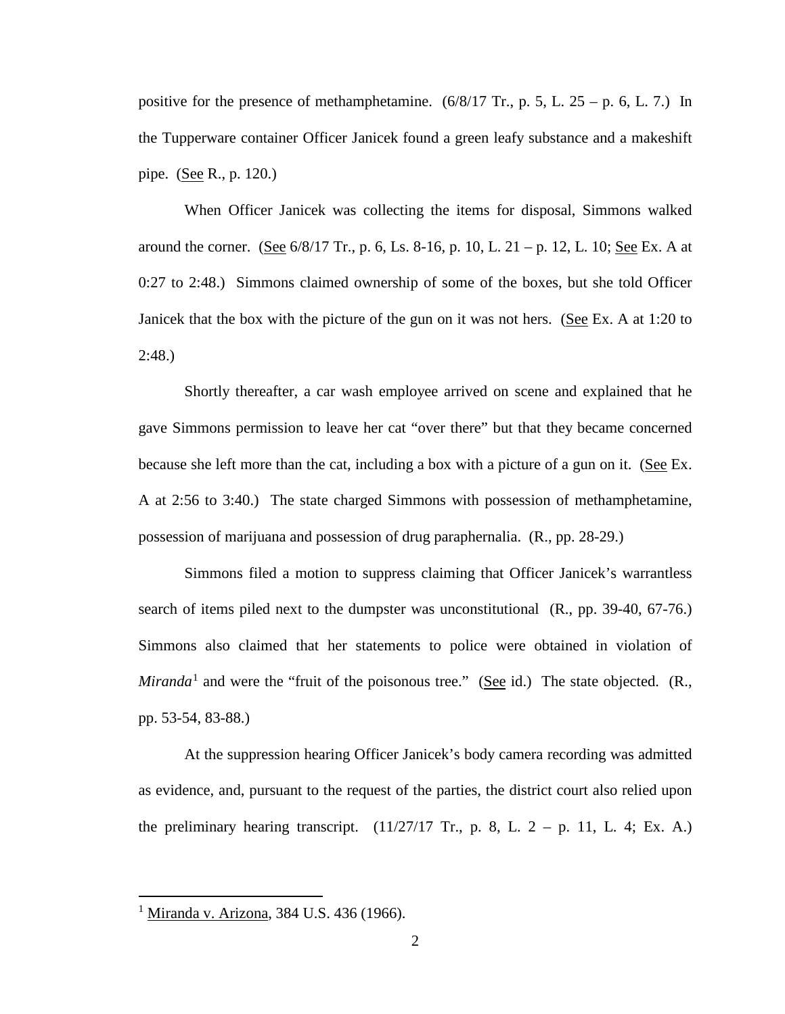positive for the presence of methamphetamine.  $(6/8/17 \text{ Tr}$ , p. 5, L.  $25 - p$ . 6, L. 7.) In the Tupperware container Officer Janicek found a green leafy substance and a makeshift pipe. (See R., p. 120.)

When Officer Janicek was collecting the items for disposal, Simmons walked around the corner. (See  $6/8/17$  Tr., p. 6, Ls. 8-16, p. 10, L. 21 – p. 12, L. 10; See Ex. A at 0:27 to 2:48.) Simmons claimed ownership of some of the boxes, but she told Officer Janicek that the box with the picture of the gun on it was not hers. (See Ex. A at 1:20 to  $2:48.$ 

Shortly thereafter, a car wash employee arrived on scene and explained that he gave Simmons permission to leave her cat "over there" but that they became concerned because she left more than the cat, including a box with a picture of a gun on it. (See Ex. A at 2:56 to 3:40.) The state charged Simmons with possession of methamphetamine, possession of marijuana and possession of drug paraphernalia. (R., pp. 28-29.)

Simmons filed a motion to suppress claiming that Officer Janicek's warrantless search of items piled next to the dumpster was unconstitutional (R., pp. 39-40, 67-76.) Simmons also claimed that her statements to police were obtained in violation of *Miranda*<sup>[1](#page--1-0)</sup> and were the "fruit of the poisonous tree." (See id.) The state objected.  $(R_{\cdot},$ pp. 53-54, 83-88.)

At the suppression hearing Officer Janicek's body camera recording was admitted as evidence, and, pursuant to the request of the parties, the district court also relied upon the preliminary hearing transcript.  $(11/27/17 \text{ Tr}, p. 8, L. 2 - p. 11, L. 4; Ex. A.)$ 

 $\overline{a}$ 

<sup>&</sup>lt;sup>1</sup> Miranda v. Arizona, 384 U.S. 436 (1966).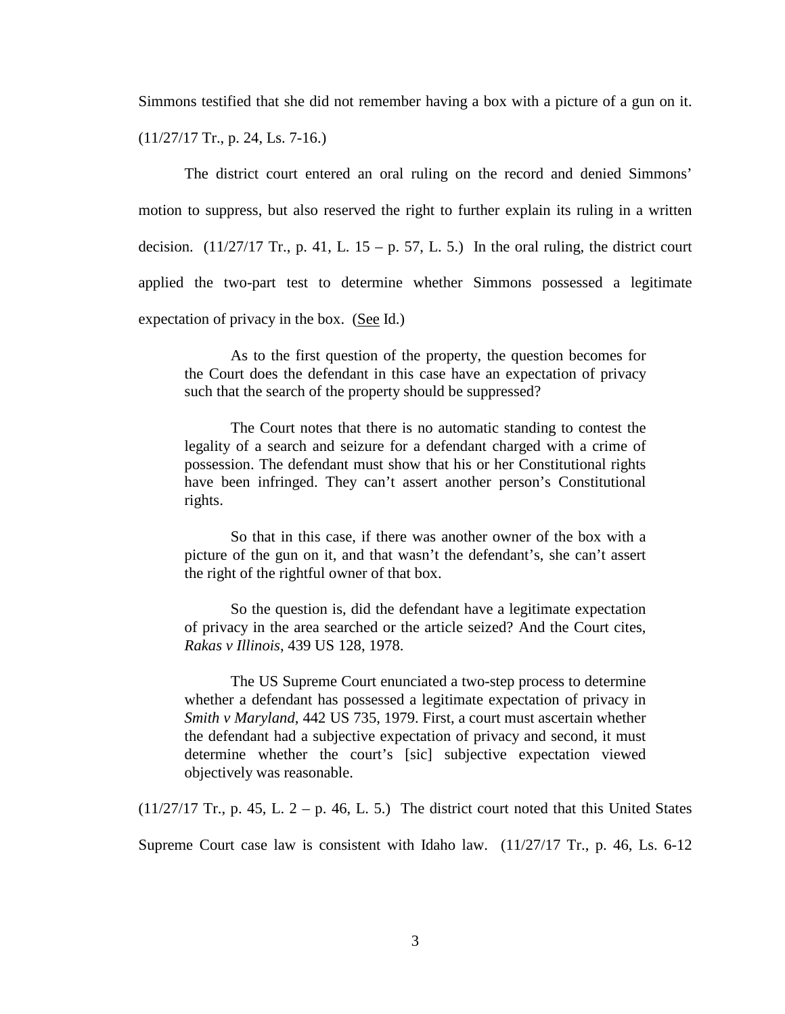Simmons testified that she did not remember having a box with a picture of a gun on it.

(11/27/17 Tr., p. 24, Ls. 7-16.)

The district court entered an oral ruling on the record and denied Simmons' motion to suppress, but also reserved the right to further explain its ruling in a written decision.  $(11/27/17$  Tr., p. 41, L. 15 – p. 57, L. 5.) In the oral ruling, the district court applied the two-part test to determine whether Simmons possessed a legitimate expectation of privacy in the box.  $(See Id.)$ 

As to the first question of the property, the question becomes for the Court does the defendant in this case have an expectation of privacy such that the search of the property should be suppressed?

The Court notes that there is no automatic standing to contest the legality of a search and seizure for a defendant charged with a crime of possession. The defendant must show that his or her Constitutional rights have been infringed. They can't assert another person's Constitutional rights.

So that in this case, if there was another owner of the box with a picture of the gun on it, and that wasn't the defendant's, she can't assert the right of the rightful owner of that box.

So the question is, did the defendant have a legitimate expectation of privacy in the area searched or the article seized? And the Court cites, *Rakas v Illinois*, 439 US 128, 1978.

The US Supreme Court enunciated a two-step process to determine whether a defendant has possessed a legitimate expectation of privacy in *Smith v Maryland*, 442 US 735, 1979. First, a court must ascertain whether the defendant had a subjective expectation of privacy and second, it must determine whether the court's [sic] subjective expectation viewed objectively was reasonable.

 $(11/27/17$  Tr., p. 45, L. 2 – p. 46, L. 5.) The district court noted that this United States

Supreme Court case law is consistent with Idaho law. (11/27/17 Tr., p. 46, Ls. 6-12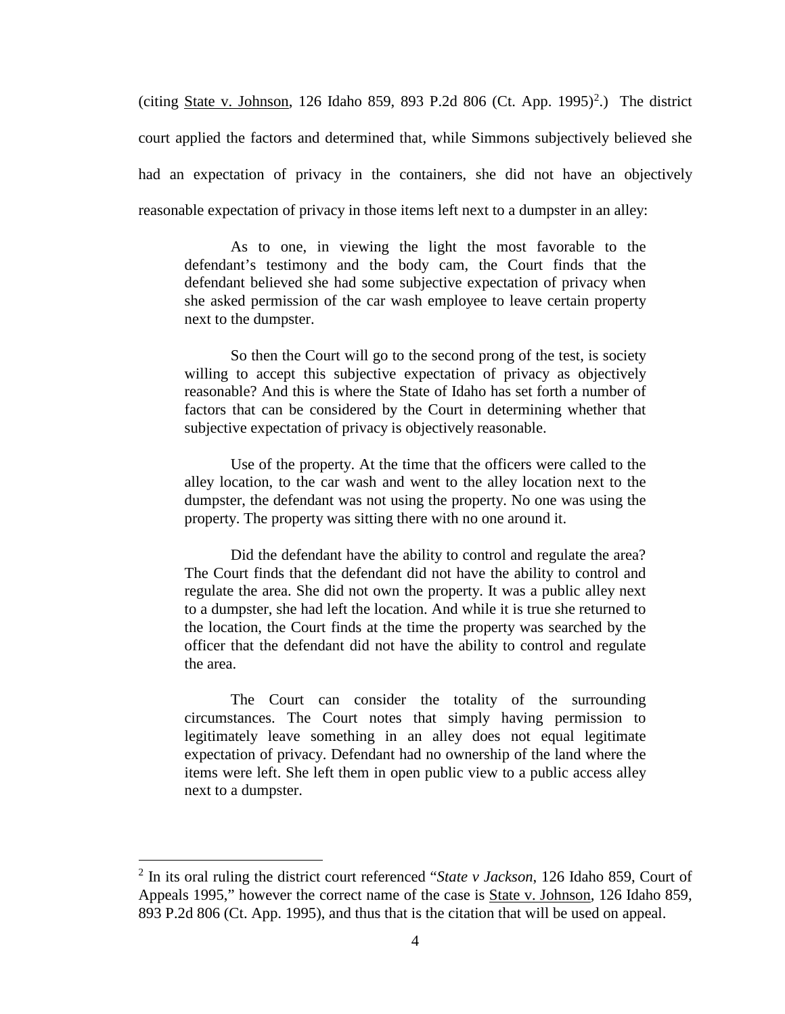(citing  $State v. Johnson, 126 Idaho 859, 893 P.2d 806 (Ct. App. 1995)<sup>2</sup>.) The district$  $State v. Johnson, 126 Idaho 859, 893 P.2d 806 (Ct. App. 1995)<sup>2</sup>.) The district$  $State v. Johnson, 126 Idaho 859, 893 P.2d 806 (Ct. App. 1995)<sup>2</sup>.) The district$ </u> court applied the factors and determined that, while Simmons subjectively believed she had an expectation of privacy in the containers, she did not have an objectively reasonable expectation of privacy in those items left next to a dumpster in an alley:

As to one, in viewing the light the most favorable to the defendant's testimony and the body cam, the Court finds that the defendant believed she had some subjective expectation of privacy when she asked permission of the car wash employee to leave certain property next to the dumpster.

So then the Court will go to the second prong of the test, is society willing to accept this subjective expectation of privacy as objectively reasonable? And this is where the State of Idaho has set forth a number of factors that can be considered by the Court in determining whether that subjective expectation of privacy is objectively reasonable.

Use of the property. At the time that the officers were called to the alley location, to the car wash and went to the alley location next to the dumpster, the defendant was not using the property. No one was using the property. The property was sitting there with no one around it.

Did the defendant have the ability to control and regulate the area? The Court finds that the defendant did not have the ability to control and regulate the area. She did not own the property. It was a public alley next to a dumpster, she had left the location. And while it is true she returned to the location, the Court finds at the time the property was searched by the officer that the defendant did not have the ability to control and regulate the area.

The Court can consider the totality of the surrounding circumstances. The Court notes that simply having permission to legitimately leave something in an alley does not equal legitimate expectation of privacy. Defendant had no ownership of the land where the items were left. She left them in open public view to a public access alley next to a dumpster.

 $\overline{a}$ 

<sup>2</sup> In its oral ruling the district court referenced "*State v Jackson*, 126 Idaho 859, Court of Appeals 1995," however the correct name of the case is State v. Johnson, 126 Idaho 859, 893 P.2d 806 (Ct. App. 1995), and thus that is the citation that will be used on appeal.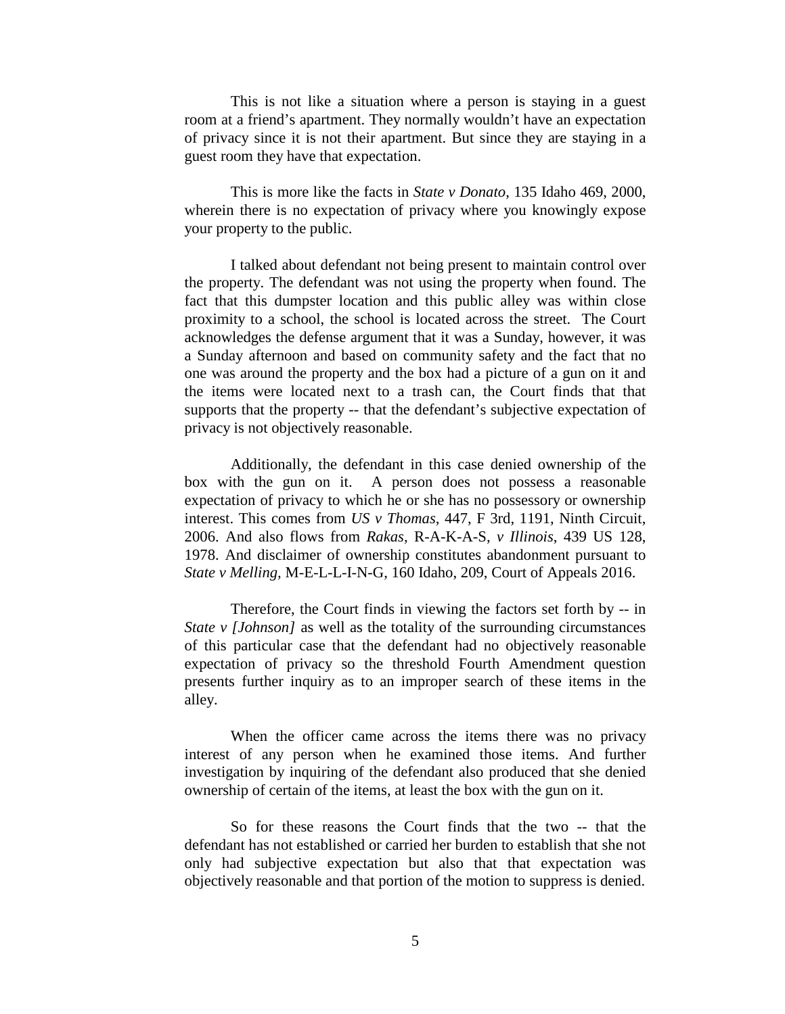This is not like a situation where a person is staying in a guest room at a friend's apartment. They normally wouldn't have an expectation of privacy since it is not their apartment. But since they are staying in a guest room they have that expectation.

This is more like the facts in *State v Donato*, 135 Idaho 469, 2000, wherein there is no expectation of privacy where you knowingly expose your property to the public.

I talked about defendant not being present to maintain control over the property. The defendant was not using the property when found. The fact that this dumpster location and this public alley was within close proximity to a school, the school is located across the street. The Court acknowledges the defense argument that it was a Sunday, however, it was a Sunday afternoon and based on community safety and the fact that no one was around the property and the box had a picture of a gun on it and the items were located next to a trash can, the Court finds that that supports that the property -- that the defendant's subjective expectation of privacy is not objectively reasonable.

Additionally, the defendant in this case denied ownership of the box with the gun on it. A person does not possess a reasonable expectation of privacy to which he or she has no possessory or ownership interest. This comes from *US v Thomas*, 447, F 3rd, 1191, Ninth Circuit, 2006. And also flows from *Rakas,* R-A-K-A-S, *v Illinois*, 439 US 128, 1978. And disclaimer of ownership constitutes abandonment pursuant to *State v Melling,* M-E-L-L-I-N-G, 160 Idaho, 209, Court of Appeals 2016.

Therefore, the Court finds in viewing the factors set forth by -- in *State v [Johnson]* as well as the totality of the surrounding circumstances of this particular case that the defendant had no objectively reasonable expectation of privacy so the threshold Fourth Amendment question presents further inquiry as to an improper search of these items in the alley.

When the officer came across the items there was no privacy interest of any person when he examined those items. And further investigation by inquiring of the defendant also produced that she denied ownership of certain of the items, at least the box with the gun on it.

So for these reasons the Court finds that the two -- that the defendant has not established or carried her burden to establish that she not only had subjective expectation but also that that expectation was objectively reasonable and that portion of the motion to suppress is denied.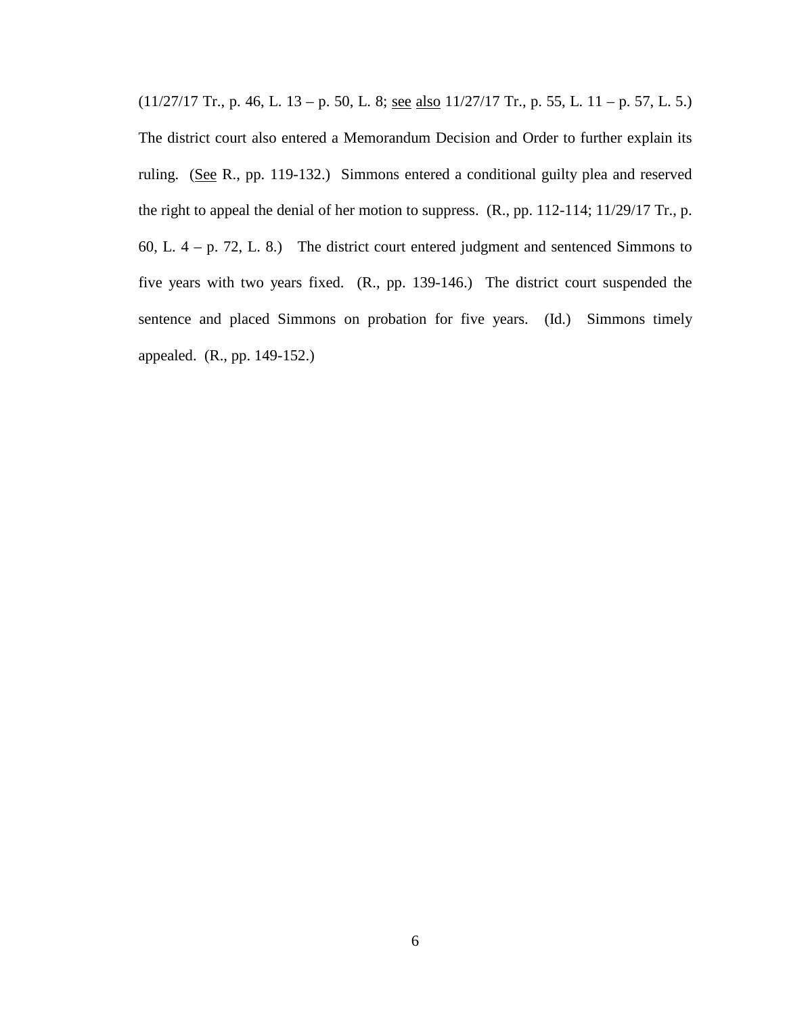$(11/27/17$  Tr., p. 46, L. 13 – p. 50, L. 8; <u>see also</u>  $11/27/17$  Tr., p. 55, L. 11 – p. 57, L. 5.) The district court also entered a Memorandum Decision and Order to further explain its ruling. (See R., pp. 119-132.) Simmons entered a conditional guilty plea and reserved the right to appeal the denial of her motion to suppress. (R., pp. 112-114; 11/29/17 Tr., p. 60, L.  $4 - p$ . 72, L. 8.) The district court entered judgment and sentenced Simmons to five years with two years fixed. (R., pp. 139-146.) The district court suspended the sentence and placed Simmons on probation for five years. (Id.) Simmons timely appealed. (R., pp. 149-152.)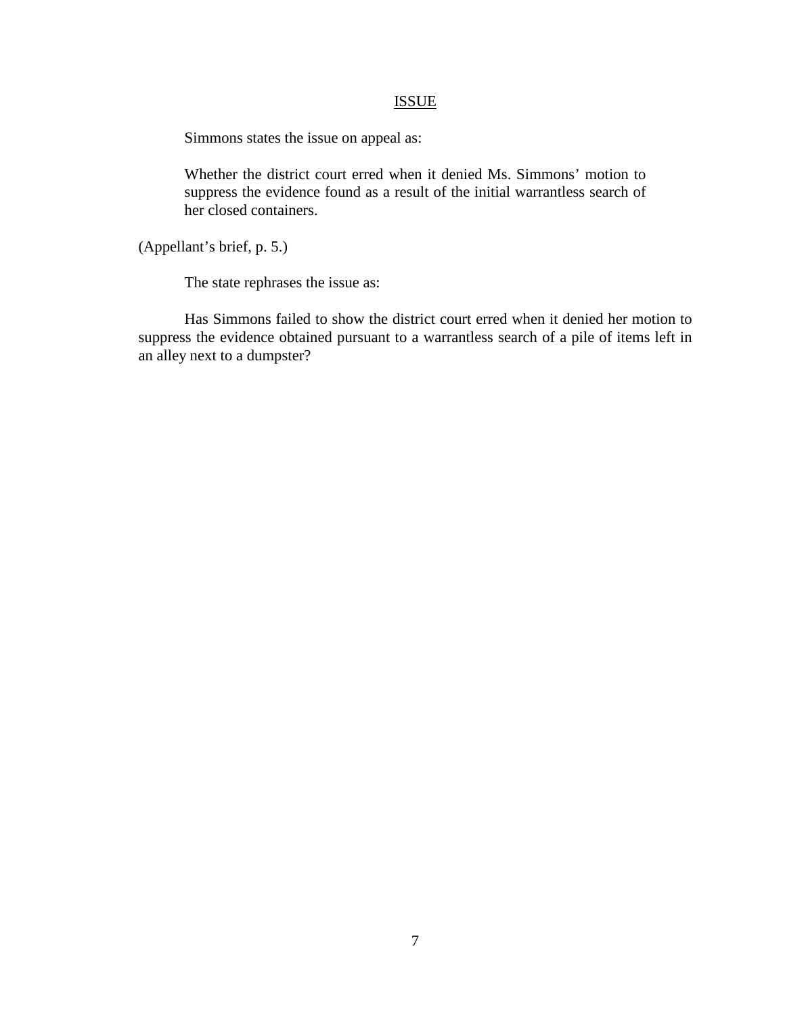## ISSUE

Simmons states the issue on appeal as:

Whether the district court erred when it denied Ms. Simmons' motion to suppress the evidence found as a result of the initial warrantless search of her closed containers.

(Appellant's brief, p. 5.)

The state rephrases the issue as:

Has Simmons failed to show the district court erred when it denied her motion to suppress the evidence obtained pursuant to a warrantless search of a pile of items left in an alley next to a dumpster?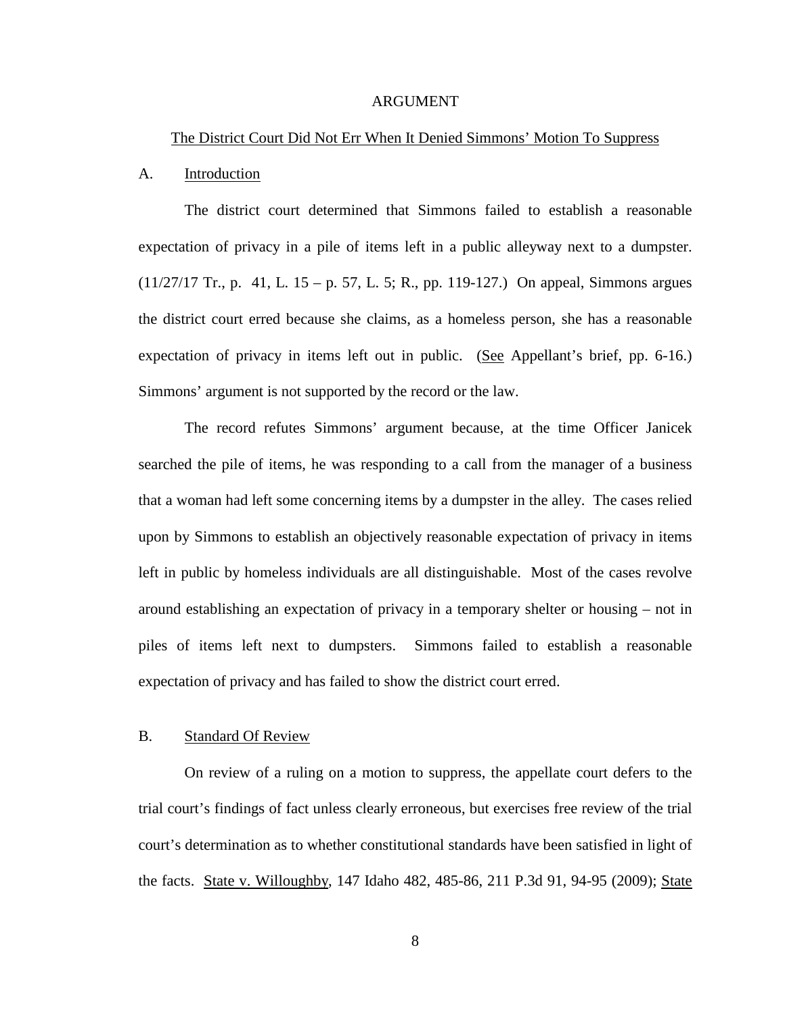### ARGUMENT

### The District Court Did Not Err When It Denied Simmons' Motion To Suppress

#### A. Introduction

The district court determined that Simmons failed to establish a reasonable expectation of privacy in a pile of items left in a public alleyway next to a dumpster.  $(11/27/17$  Tr., p. 41, L. 15 – p. 57, L. 5; R., pp. 119-127.) On appeal, Simmons argues the district court erred because she claims, as a homeless person, she has a reasonable expectation of privacy in items left out in public. (See Appellant's brief, pp. 6-16.) Simmons' argument is not supported by the record or the law.

The record refutes Simmons' argument because, at the time Officer Janicek searched the pile of items, he was responding to a call from the manager of a business that a woman had left some concerning items by a dumpster in the alley. The cases relied upon by Simmons to establish an objectively reasonable expectation of privacy in items left in public by homeless individuals are all distinguishable. Most of the cases revolve around establishing an expectation of privacy in a temporary shelter or housing – not in piles of items left next to dumpsters. Simmons failed to establish a reasonable expectation of privacy and has failed to show the district court erred.

# B. Standard Of Review

On review of a ruling on a motion to suppress, the appellate court defers to the trial court's findings of fact unless clearly erroneous, but exercises free review of the trial court's determination as to whether constitutional standards have been satisfied in light of the facts. State v. Willoughby, 147 Idaho 482, 485-86, 211 P.3d 91, 94-95 (2009); State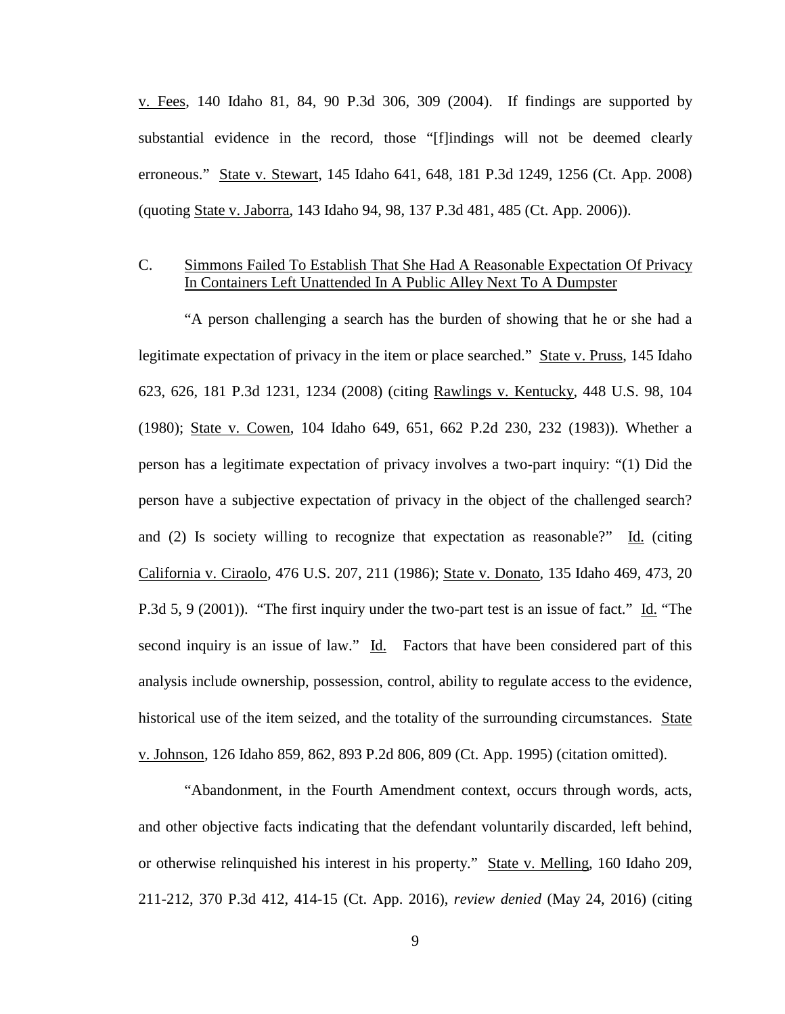$v.$  Fees, 140 Idaho 81, 84, 90 P.3d 306, 309 (2004). If findings are supported by substantial evidence in the record, those "[f]indings will not be deemed clearly erroneous." State v. Stewart, 145 Idaho 641, 648, 181 P.3d 1249, 1256 (Ct. App. 2008) (quoting State v. Jaborra, 143 Idaho 94, 98, 137 P.3d 481, 485 (Ct. App. 2006)).

# C. Simmons Failed To Establish That She Had A Reasonable Expectation Of Privacy In Containers Left Unattended In A Public Alley Next To A Dumpster

 "A person challenging a search has the burden of showing that he or she had a legitimate expectation of privacy in the item or place searched." State v. Pruss, 145 Idaho 623, 626, 181 P.3d 1231, 1234 (2008) (citing Rawlings v. Kentucky, 448 U.S. 98, 104 (1980); State v. Cowen, 104 Idaho 649, 651, 662 P.2d 230, 232 (1983)). Whether a person has a legitimate expectation of privacy involves a two-part inquiry: "(1) Did the person have a subjective expectation of privacy in the object of the challenged search? and (2) Is society willing to recognize that expectation as reasonable?" Id. (citing California v. Ciraolo, 476 U.S. 207, 211 (1986); State v. Donato, 135 Idaho 469, 473, 20 P.3d 5, 9 (2001)). "The first inquiry under the two-part test is an issue of fact." Id. "The second inquiry is an issue of law." Id. Factors that have been considered part of this analysis include ownership, possession, control, ability to regulate access to the evidence, historical use of the item seized, and the totality of the surrounding circumstances. State v. Johnson, 126 Idaho 859, 862, 893 P.2d 806, 809 (Ct. App. 1995) (citation omitted).

 "Abandonment, in the Fourth Amendment context, occurs through words, acts, and other objective facts indicating that the defendant voluntarily discarded, left behind, or otherwise relinquished his interest in his property." State v. Melling, 160 Idaho 209, 211-212, 370 P.3d 412, 414-15 (Ct. App. 2016), *review denied* (May 24, 2016) (citing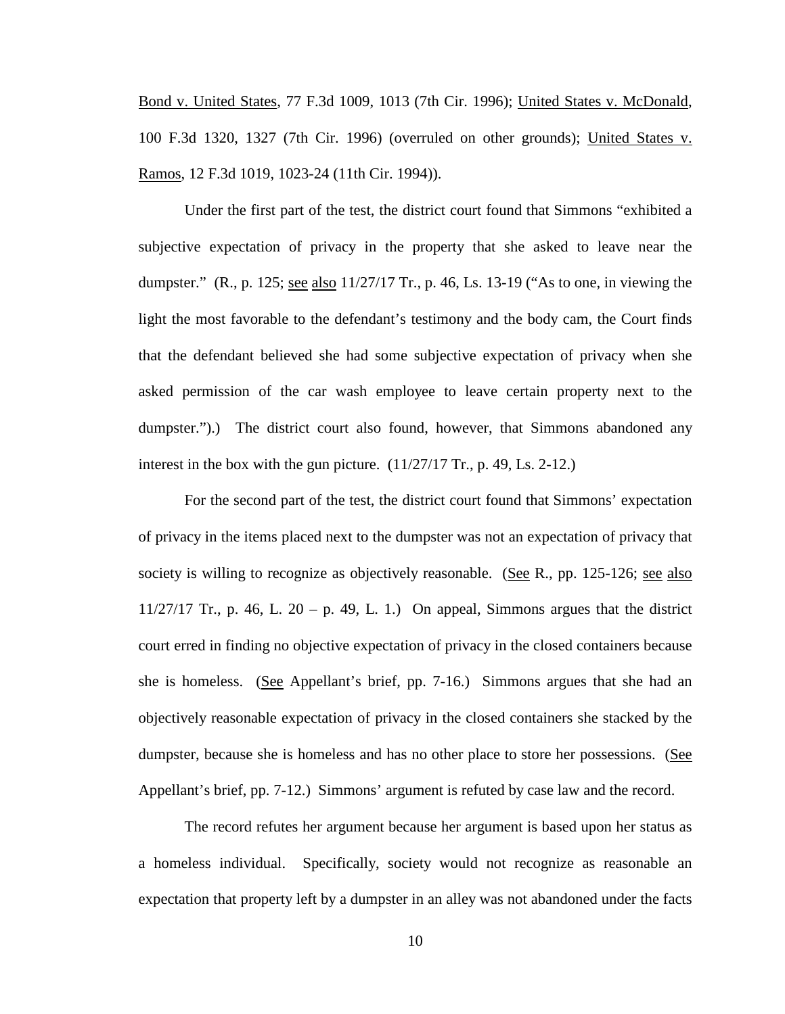Bond v. United States, 77 F.3d 1009, 1013 (7th Cir. 1996); United States v. McDonald, 100 F.3d 1320, 1327 (7th Cir. 1996) (overruled on other grounds); United States v. Ramos, 12 F.3d 1019, 1023-24 (11th Cir. 1994)).

Under the first part of the test, the district court found that Simmons "exhibited a subjective expectation of privacy in the property that she asked to leave near the dumpster." (R., p. 125; see also 11/27/17 Tr., p. 46, Ls. 13-19 ("As to one, in viewing the light the most favorable to the defendant's testimony and the body cam, the Court finds that the defendant believed she had some subjective expectation of privacy when she asked permission of the car wash employee to leave certain property next to the dumpster.").) The district court also found, however, that Simmons abandoned any interest in the box with the gun picture. (11/27/17 Tr., p. 49, Ls. 2-12.)

For the second part of the test, the district court found that Simmons' expectation of privacy in the items placed next to the dumpster was not an expectation of privacy that society is willing to recognize as objectively reasonable. (See R., pp. 125-126; see also 11/27/17 Tr., p. 46, L. 20 – p. 49, L. 1.) On appeal, Simmons argues that the district court erred in finding no objective expectation of privacy in the closed containers because she is homeless. (See Appellant's brief, pp. 7-16.) Simmons argues that she had an objectively reasonable expectation of privacy in the closed containers she stacked by the dumpster, because she is homeless and has no other place to store her possessions. (See Appellant's brief, pp. 7-12.) Simmons' argument is refuted by case law and the record.

The record refutes her argument because her argument is based upon her status as a homeless individual. Specifically, society would not recognize as reasonable an expectation that property left by a dumpster in an alley was not abandoned under the facts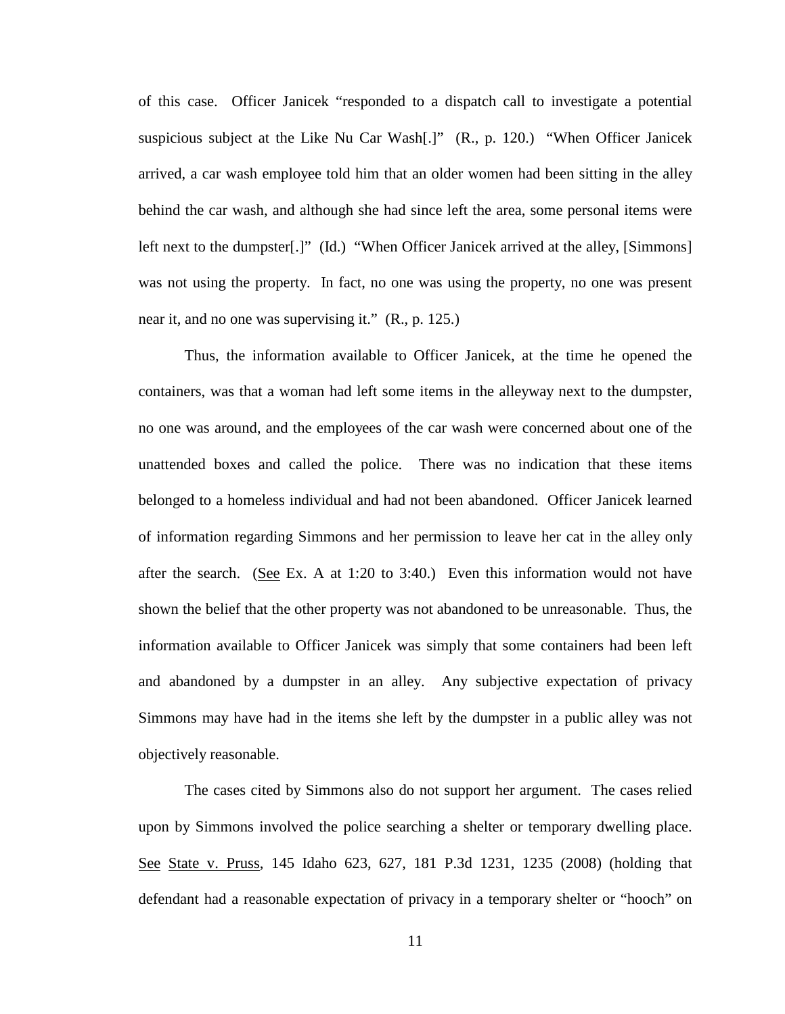of this case. Officer Janicek "responded to a dispatch call to investigate a potential suspicious subject at the Like Nu Car Wash[.]" (R., p. 120.) "When Officer Janicek arrived, a car wash employee told him that an older women had been sitting in the alley behind the car wash, and although she had since left the area, some personal items were left next to the dumpster[.]" (Id.) "When Officer Janicek arrived at the alley, [Simmons] was not using the property. In fact, no one was using the property, no one was present near it, and no one was supervising it." (R., p. 125.)

 Thus, the information available to Officer Janicek, at the time he opened the containers, was that a woman had left some items in the alleyway next to the dumpster, no one was around, and the employees of the car wash were concerned about one of the unattended boxes and called the police. There was no indication that these items belonged to a homeless individual and had not been abandoned. Officer Janicek learned of information regarding Simmons and her permission to leave her cat in the alley only after the search. (See Ex. A at 1:20 to 3:40.) Even this information would not have shown the belief that the other property was not abandoned to be unreasonable. Thus, the information available to Officer Janicek was simply that some containers had been left and abandoned by a dumpster in an alley. Any subjective expectation of privacy Simmons may have had in the items she left by the dumpster in a public alley was not objectively reasonable.

The cases cited by Simmons also do not support her argument. The cases relied upon by Simmons involved the police searching a shelter or temporary dwelling place. See State v. Pruss, 145 Idaho 623, 627, 181 P.3d 1231, 1235 (2008) (holding that defendant had a reasonable expectation of privacy in a temporary shelter or "hooch" on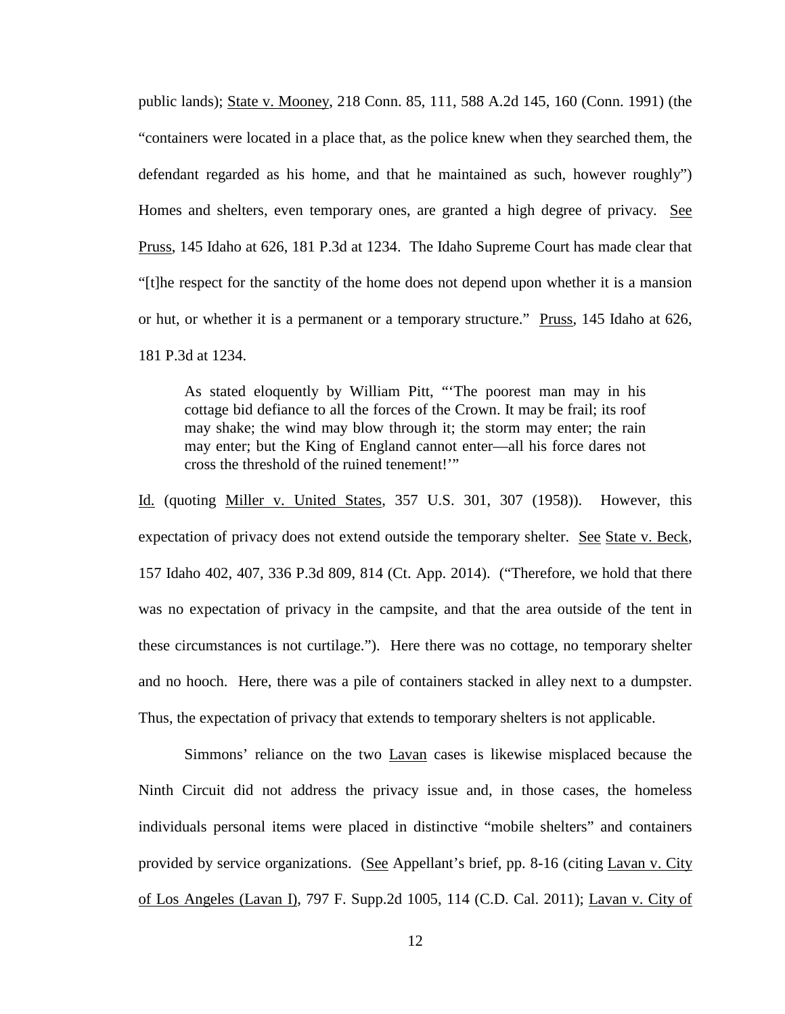public lands); State v. Mooney, 218 Conn. 85, 111, 588 A.2d 145, 160 (Conn. 1991) (the "containers were located in a place that, as the police knew when they searched them, the defendant regarded as his home, and that he maintained as such, however roughly") Homes and shelters, even temporary ones, are granted a high degree of privacy. See Pruss, 145 Idaho at 626, 181 P.3d at 1234. The Idaho Supreme Court has made clear that "[t]he respect for the sanctity of the home does not depend upon whether it is a mansion or hut, or whether it is a permanent or a temporary structure." Pruss, 145 Idaho at 626, 181 P.3d at 1234.

As stated eloquently by William Pitt, "'The poorest man may in his cottage bid defiance to all the forces of the Crown. It may be frail; its roof may shake; the wind may blow through it; the storm may enter; the rain may enter; but the King of England cannot enter—all his force dares not cross the threshold of the ruined tenement!'"

Id. (quoting Miller v. United States, 357 U.S. 301, 307 (1958)). However, this expectation of privacy does not extend outside the temporary shelter. See State v. Beck, 157 Idaho 402, 407, 336 P.3d 809, 814 (Ct. App. 2014). ("Therefore, we hold that there was no expectation of privacy in the campsite, and that the area outside of the tent in these circumstances is not curtilage."). Here there was no cottage, no temporary shelter and no hooch. Here, there was a pile of containers stacked in alley next to a dumpster. Thus, the expectation of privacy that extends to temporary shelters is not applicable.

Simmons' reliance on the two Lavan cases is likewise misplaced because the Ninth Circuit did not address the privacy issue and, in those cases, the homeless individuals personal items were placed in distinctive "mobile shelters" and containers provided by service organizations. (See Appellant's brief, pp. 8-16 (citing Lavan v. City of Los Angeles (Lavan I), 797 F. Supp.2d 1005, 114 (C.D. Cal. 2011); Lavan v. City of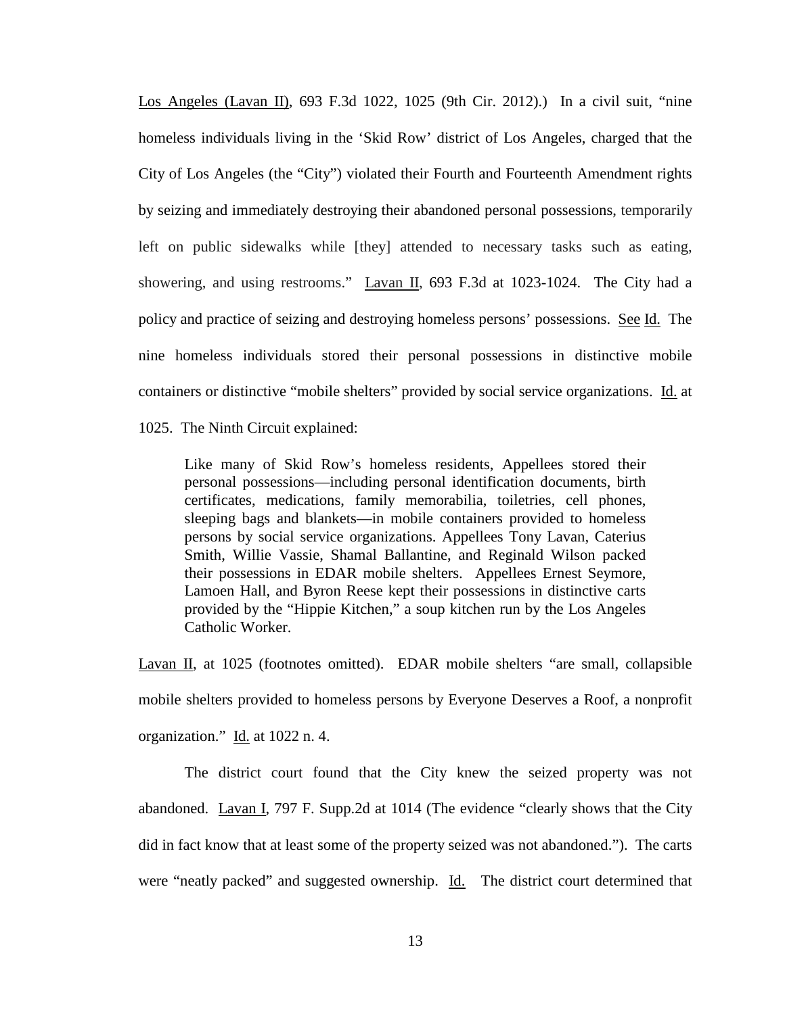Los Angeles (Lavan II), 693 F.3d 1022, 1025 (9th Cir. 2012).) In a civil suit, "nine homeless individuals living in the 'Skid Row' district of Los Angeles, charged that the City of Los Angeles (the "City") violated their Fourth and Fourteenth Amendment rights by seizing and immediately destroying their abandoned personal possessions, temporarily left on public sidewalks while [they] attended to necessary tasks such as eating, showering, and using restrooms." Lavan II, 693 F.3d at 1023-1024. The City had a policy and practice of seizing and destroying homeless persons' possessions. See Id. The nine homeless individuals stored their personal possessions in distinctive mobile containers or distinctive "mobile shelters" provided by social service organizations. Id. at

1025. The Ninth Circuit explained:

Like many of Skid Row's homeless residents, Appellees stored their personal possessions—including personal identification documents, birth certificates, medications, family memorabilia, toiletries, cell phones, sleeping bags and blankets—in mobile containers provided to homeless persons by social service organizations. Appellees Tony Lavan, Caterius Smith, Willie Vassie, Shamal Ballantine, and Reginald Wilson packed their possessions in EDAR mobile shelters. Appellees Ernest Seymore, Lamoen Hall, and Byron Reese kept their possessions in distinctive carts provided by the "Hippie Kitchen," a soup kitchen run by the Los Angeles Catholic Worker.

Lavan II, at 1025 (footnotes omitted). EDAR mobile shelters "are small, collapsible mobile shelters provided to homeless persons by Everyone Deserves a Roof, a nonprofit organization." Id. at 1022 n. 4.

The district court found that the City knew the seized property was not abandoned. Lavan I, 797 F. Supp.2d at 1014 (The evidence "clearly shows that the City did in fact know that at least some of the property seized was not abandoned."). The carts were "neatly packed" and suggested ownership. Id. The district court determined that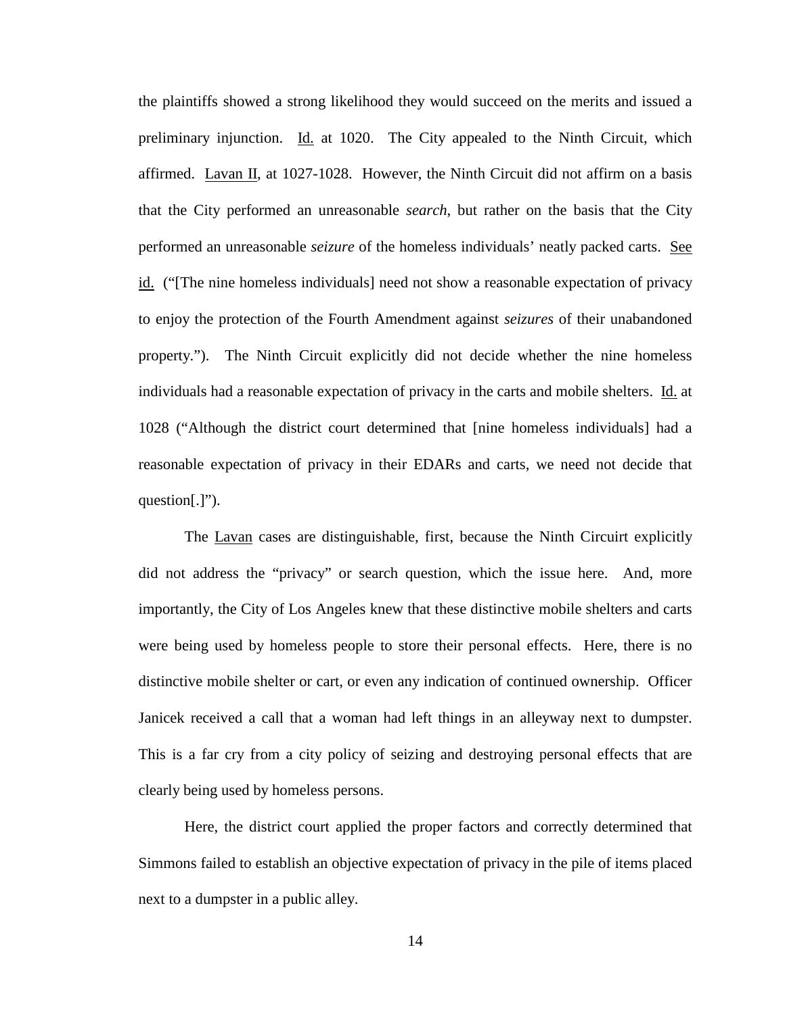the plaintiffs showed a strong likelihood they would succeed on the merits and issued a preliminary injunction. Id. at 1020. The City appealed to the Ninth Circuit, which affirmed. Lavan II, at 1027-1028. However, the Ninth Circuit did not affirm on a basis that the City performed an unreasonable *search*, but rather on the basis that the City performed an unreasonable *seizure* of the homeless individuals' neatly packed carts. See id. ("[The nine homeless individuals] need not show a reasonable expectation of privacy to enjoy the protection of the Fourth Amendment against *seizures* of their unabandoned property."). The Ninth Circuit explicitly did not decide whether the nine homeless individuals had a reasonable expectation of privacy in the carts and mobile shelters. Id. at 1028 ("Although the district court determined that [nine homeless individuals] had a reasonable expectation of privacy in their EDARs and carts, we need not decide that question[.]").

The Lavan cases are distinguishable, first, because the Ninth Circuirt explicitly did not address the "privacy" or search question, which the issue here. And, more importantly, the City of Los Angeles knew that these distinctive mobile shelters and carts were being used by homeless people to store their personal effects. Here, there is no distinctive mobile shelter or cart, or even any indication of continued ownership. Officer Janicek received a call that a woman had left things in an alleyway next to dumpster. This is a far cry from a city policy of seizing and destroying personal effects that are clearly being used by homeless persons.

Here, the district court applied the proper factors and correctly determined that Simmons failed to establish an objective expectation of privacy in the pile of items placed next to a dumpster in a public alley.